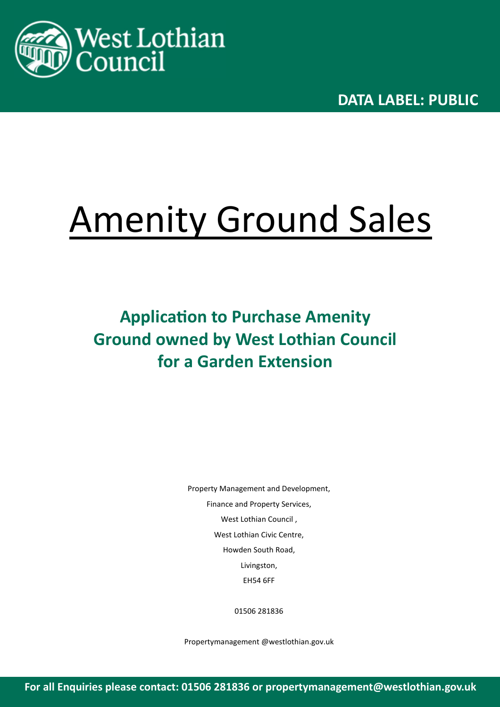

**DATA LABEL: PUBLIC** 

# Amenity Ground Sales

**Application to Purchase Amenity Ground owned by West Lothian Council for a Garden Extension**

> Property Management and Development, Finance and Property Services, West Lothian Council , West Lothian Civic Centre, Howden South Road, Livingston, EH54 6FF

> > 01506 281836

Propertymanagement @westlothian.gov.uk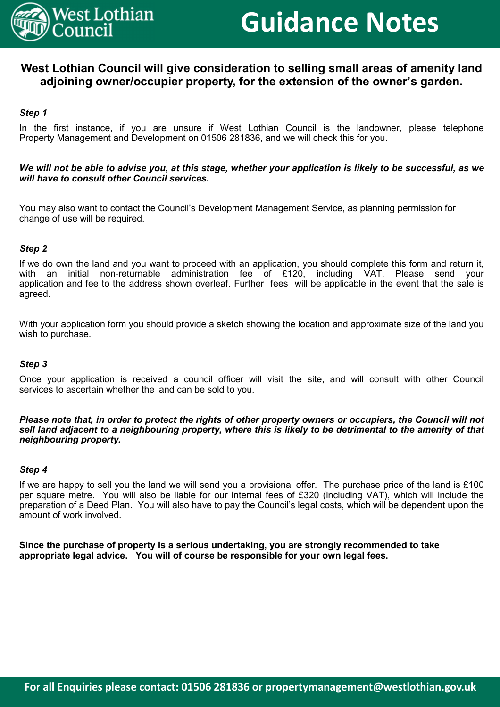

# **Guidance Notes**

### **West Lothian Council will give consideration to selling small areas of amenity land adjoining owner/occupier property, for the extension of the owner's garden.**

#### *Step 1*

In the first instance, if you are unsure if West Lothian Council is the landowner, please telephone Property Management and Development on 01506 281836, and we will check this for you.

#### *We will not be able to advise you, at this stage, whether your application is likely to be successful, as we will have to consult other Council services.*

You may also want to contact the Council's Development Management Service, as planning permission for change of use will be required.

#### *Step 2*

If we do own the land and you want to proceed with an application, you should complete this form and return it, with an initial non-returnable administration fee of £120, including VAT. Please send your application and fee to the address shown overleaf. Further fees will be applicable in the event that the sale is agreed.

With your application form you should provide a sketch showing the location and approximate size of the land you wish to purchase.

#### *Step 3*

Once your application is received a council officer will visit the site, and will consult with other Council services to ascertain whether the land can be sold to you.

*Please note that, in order to protect the rights of other property owners or occupiers, the Council will not sell land adjacent to a neighbouring property, where this is likely to be detrimental to the amenity of that neighbouring property.*

#### *Step 4*

If we are happy to sell you the land we will send you a provisional offer. The purchase price of the land is £100 per square metre. You will also be liable for our internal fees of £320 (including VAT), which will include the preparation of a Deed Plan. You will also have to pay the Council's legal costs, which will be dependent upon the amount of work involved.

**Since the purchase of property is a serious undertaking, you are strongly recommended to take appropriate legal advice. You will of course be responsible for your own legal fees.**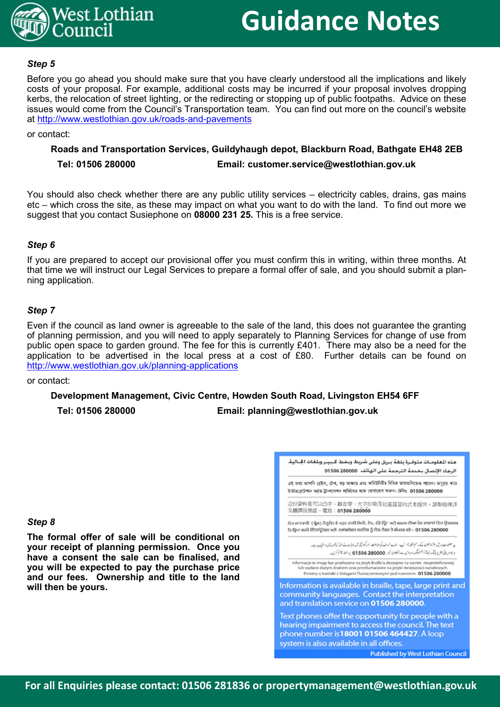

# **Guidance Notes**

#### *Step 5*

Before you go ahead you should make sure that you have clearly understood all the implications and likely costs of your proposal. For example, additional costs may be incurred if your proposal involves dropping kerbs, the relocation of street lighting, or the redirecting or stopping up of public footpaths. Advice on these issues would come from the Council's Transportation team. You can find out more on the council's website at http://www.westlothian.gov.uk/roads-and-pavements

or contact:

#### **Roads and Transportation Services, Guildyhaugh depot, Blackburn Road, Bathgate EH48 2EB Tel: 01506 280000 Email: customer.service@westlothian.gov.uk**

You should also check whether there are any public utility services – electricity cables, drains, gas mains etc – which cross the site, as these may impact on what you want to do with the land. To find out more we suggest that you contact Susiephone on **08000 231 25.** This is a free service.

#### *Step 6*

If you are prepared to accept our provisional offer you must confirm this in writing, within three months. At that time we will instruct our Legal Services to prepare a formal offer of sale, and you should submit a planning application.

#### *Step 7*

Even if the council as land owner is agreeable to the sale of the land, this does not guarantee the granting of planning permission, and you will need to apply separately to Planning Services for change of use from public open space to garden ground. The fee for this is currently £401. There may also be a need for the application to be advertised in the local press at a cost of £80. Further details can be found on http://www.westlothian.gov.uk/planning-applications

#### or contact:

**Development Management, Civic Centre, Howden South Road, Livingston EH54 6FF**

**Tel: 01506 280000 Email: planning@westlothian.gov.uk**

#### *Step 8*

**The formal offer of sale will be conditional on your receipt of planning permission. Once you have a consent the sale can be finalised, and you will be expected to pay the purchase price and our fees. Ownership and title to the land will then be yours.**



**Published by West Lothian Council**